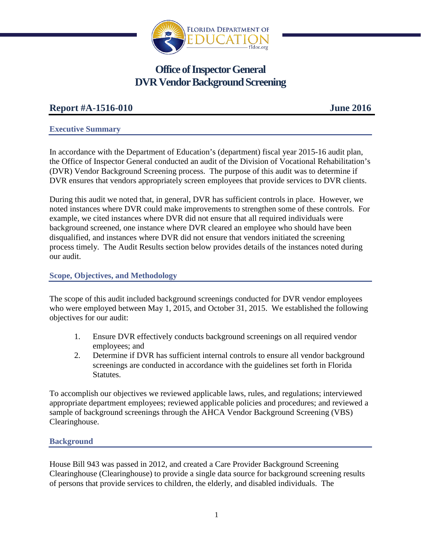

# **Office of Inspector General DVR Vendor Background Screening**

# **Report #A-1516-010 June 2016**

#### **Executive Summary**

In accordance with the Department of Education's (department) fiscal year 2015-16 audit plan, the Office of Inspector General conducted an audit of the Division of Vocational Rehabilitation's (DVR) Vendor Background Screening process. The purpose of this audit was to determine if DVR ensures that vendors appropriately screen employees that provide services to DVR clients.

During this audit we noted that, in general, DVR has sufficient controls in place. However, we noted instances where DVR could make improvements to strengthen some of these controls. For example, we cited instances where DVR did not ensure that all required individuals were background screened, one instance where DVR cleared an employee who should have been disqualified, and instances where DVR did not ensure that vendors initiated the screening process timely. The Audit Results section below provides details of the instances noted during our audit.

## **Scope, Objectives, and Methodology**

The scope of this audit included background screenings conducted for DVR vendor employees who were employed between May 1, 2015, and October 31, 2015. We established the following objectives for our audit:

- 1. Ensure DVR effectively conducts background screenings on all required vendor employees; and
- 2. Determine if DVR has sufficient internal controls to ensure all vendor background screenings are conducted in accordance with the guidelines set forth in Florida Statutes.

To accomplish our objectives we reviewed applicable laws, rules, and regulations; interviewed appropriate department employees; reviewed applicable policies and procedures; and reviewed a sample of background screenings through the AHCA Vendor Background Screening (VBS) Clearinghouse.

## **Background**

House Bill 943 was passed in 2012, and created a Care Provider Background Screening Clearinghouse (Clearinghouse) to provide a single data source for background screening results of persons that provide services to children, the elderly, and disabled individuals. The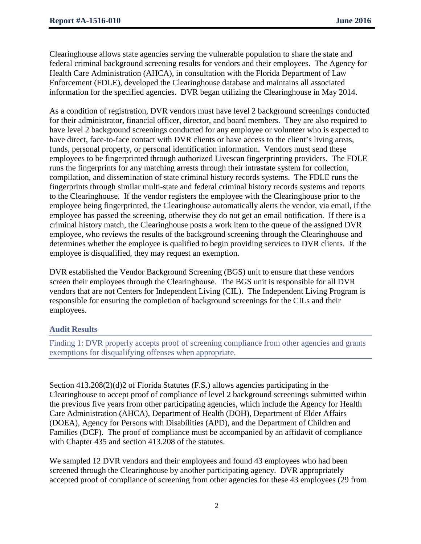Clearinghouse allows state agencies serving the vulnerable population to share the state and federal criminal background screening results for vendors and their employees. The Agency for Health Care Administration (AHCA), in consultation with the Florida Department of Law Enforcement (FDLE), developed the Clearinghouse database and maintains all associated information for the specified agencies. DVR began utilizing the Clearinghouse in May 2014.

As a condition of registration, DVR vendors must have level 2 background screenings conducted for their administrator, financial officer, director, and board members. They are also required to have level 2 background screenings conducted for any employee or volunteer who is expected to have direct, face-to-face contact with DVR clients or have access to the client's living areas, funds, personal property, or personal identification information. Vendors must send these employees to be fingerprinted through authorized Livescan fingerprinting providers. The FDLE runs the fingerprints for any matching arrests through their intrastate system for collection, compilation, and dissemination of state criminal history records systems. The FDLE runs the fingerprints through similar multi-state and federal criminal history records systems and reports to the Clearinghouse. If the vendor registers the employee with the Clearinghouse prior to the employee being fingerprinted, the Clearinghouse automatically alerts the vendor, via email, if the employee has passed the screening, otherwise they do not get an email notification. If there is a criminal history match, the Clearinghouse posts a work item to the queue of the assigned DVR employee, who reviews the results of the background screening through the Clearinghouse and determines whether the employee is qualified to begin providing services to DVR clients. If the employee is disqualified, they may request an exemption.

DVR established the Vendor Background Screening (BGS) unit to ensure that these vendors screen their employees through the Clearinghouse. The BGS unit is responsible for all DVR vendors that are not Centers for Independent Living (CIL). The Independent Living Program is responsible for ensuring the completion of background screenings for the CILs and their employees.

## **Audit Results**

Finding 1: DVR properly accepts proof of screening compliance from other agencies and grants exemptions for disqualifying offenses when appropriate.

Section 413.208(2)(d)2 of Florida Statutes (F.S.) allows agencies participating in the Clearinghouse to accept proof of compliance of level 2 background screenings submitted within the previous five years from other participating agencies, which include the Agency for Health Care Administration (AHCA), Department of Health (DOH), Department of Elder Affairs (DOEA), Agency for Persons with Disabilities (APD), and the Department of Children and Families (DCF). The proof of compliance must be accompanied by an affidavit of compliance with Chapter 435 and section 413.208 of the statutes.

We sampled 12 DVR vendors and their employees and found 43 employees who had been screened through the Clearinghouse by another participating agency. DVR appropriately accepted proof of compliance of screening from other agencies for these 43 employees (29 from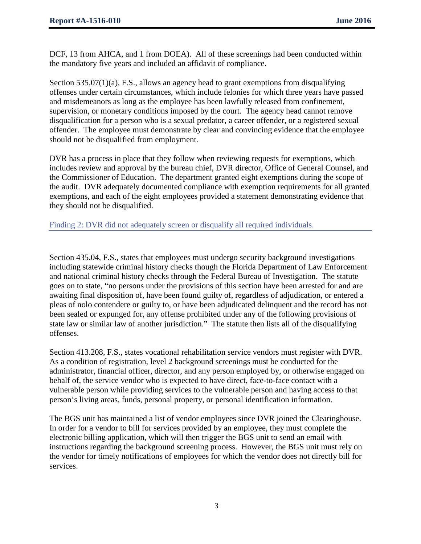DCF, 13 from AHCA, and 1 from DOEA). All of these screenings had been conducted within the mandatory five years and included an affidavit of compliance.

Section  $535.07(1)(a)$ , F.S., allows an agency head to grant exemptions from disqualifying offenses under certain circumstances, which include felonies for which three years have passed and misdemeanors as long as the employee has been lawfully released from confinement, supervision, or monetary conditions imposed by the court. The agency head cannot remove disqualification for a person who is a sexual predator, a career offender, or a registered sexual offender. The employee must demonstrate by clear and convincing evidence that the employee should not be disqualified from employment.

DVR has a process in place that they follow when reviewing requests for exemptions, which includes review and approval by the bureau chief, DVR director, Office of General Counsel, and the Commissioner of Education. The department granted eight exemptions during the scope of the audit. DVR adequately documented compliance with exemption requirements for all granted exemptions, and each of the eight employees provided a statement demonstrating evidence that they should not be disqualified.

Finding 2: DVR did not adequately screen or disqualify all required individuals.

Section 435.04, F.S., states that employees must undergo security background investigations including statewide criminal history checks though the Florida Department of Law Enforcement and national criminal history checks through the Federal Bureau of Investigation. The statute goes on to state, "no persons under the provisions of this section have been arrested for and are awaiting final disposition of, have been found guilty of, regardless of adjudication, or entered a pleas of nolo contendere or guilty to, or have been adjudicated delinquent and the record has not been sealed or expunged for, any offense prohibited under any of the following provisions of state law or similar law of another jurisdiction." The statute then lists all of the disqualifying offenses.

Section 413.208, F.S., states vocational rehabilitation service vendors must register with DVR. As a condition of registration, level 2 background screenings must be conducted for the administrator, financial officer, director, and any person employed by, or otherwise engaged on behalf of, the service vendor who is expected to have direct, face-to-face contact with a vulnerable person while providing services to the vulnerable person and having access to that person's living areas, funds, personal property, or personal identification information.

The BGS unit has maintained a list of vendor employees since DVR joined the Clearinghouse. In order for a vendor to bill for services provided by an employee, they must complete the electronic billing application, which will then trigger the BGS unit to send an email with instructions regarding the background screening process. However, the BGS unit must rely on the vendor for timely notifications of employees for which the vendor does not directly bill for services.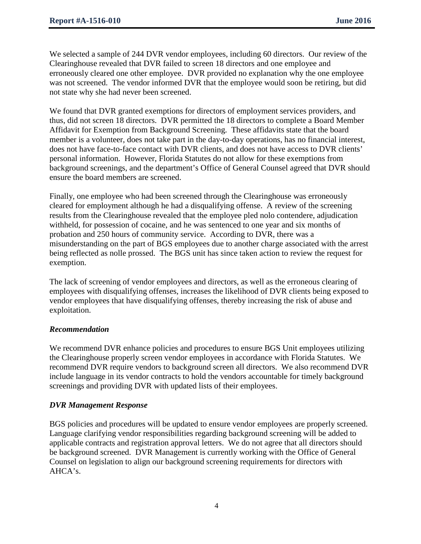We selected a sample of 244 DVR vendor employees, including 60 directors. Our review of the Clearinghouse revealed that DVR failed to screen 18 directors and one employee and erroneously cleared one other employee. DVR provided no explanation why the one employee was not screened. The vendor informed DVR that the employee would soon be retiring, but did not state why she had never been screened.

We found that DVR granted exemptions for directors of employment services providers, and thus, did not screen 18 directors. DVR permitted the 18 directors to complete a Board Member Affidavit for Exemption from Background Screening. These affidavits state that the board member is a volunteer, does not take part in the day-to-day operations, has no financial interest, does not have face-to-face contact with DVR clients, and does not have access to DVR clients' personal information. However, Florida Statutes do not allow for these exemptions from background screenings, and the department's Office of General Counsel agreed that DVR should ensure the board members are screened.

Finally, one employee who had been screened through the Clearinghouse was erroneously cleared for employment although he had a disqualifying offense. A review of the screening results from the Clearinghouse revealed that the employee pled nolo contendere, adjudication withheld, for possession of cocaine, and he was sentenced to one year and six months of probation and 250 hours of community service. According to DVR, there was a misunderstanding on the part of BGS employees due to another charge associated with the arrest being reflected as nolle prossed. The BGS unit has since taken action to review the request for exemption.

The lack of screening of vendor employees and directors, as well as the erroneous clearing of employees with disqualifying offenses, increases the likelihood of DVR clients being exposed to vendor employees that have disqualifying offenses, thereby increasing the risk of abuse and exploitation.

## *Recommendation*

We recommend DVR enhance policies and procedures to ensure BGS Unit employees utilizing the Clearinghouse properly screen vendor employees in accordance with Florida Statutes. We recommend DVR require vendors to background screen all directors. We also recommend DVR include language in its vendor contracts to hold the vendors accountable for timely background screenings and providing DVR with updated lists of their employees.

## *DVR Management Response*

BGS policies and procedures will be updated to ensure vendor employees are properly screened. Language clarifying vendor responsibilities regarding background screening will be added to applicable contracts and registration approval letters. We do not agree that all directors should be background screened. DVR Management is currently working with the Office of General Counsel on legislation to align our background screening requirements for directors with AHCA's.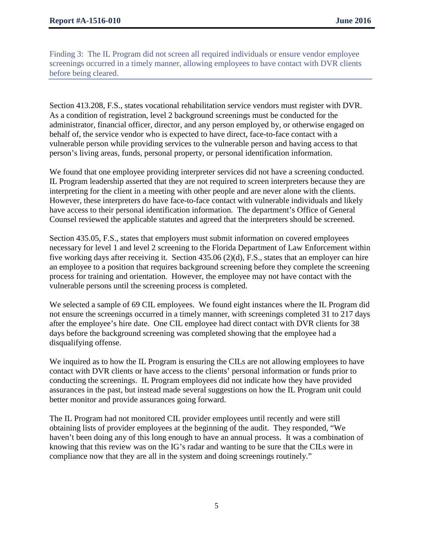Finding 3: The IL Program did not screen all required individuals or ensure vendor employee screenings occurred in a timely manner, allowing employees to have contact with DVR clients before being cleared.

Section 413.208, F.S., states vocational rehabilitation service vendors must register with DVR. As a condition of registration, level 2 background screenings must be conducted for the administrator, financial officer, director, and any person employed by, or otherwise engaged on behalf of, the service vendor who is expected to have direct, face-to-face contact with a vulnerable person while providing services to the vulnerable person and having access to that person's living areas, funds, personal property, or personal identification information.

We found that one employee providing interpreter services did not have a screening conducted. IL Program leadership asserted that they are not required to screen interpreters because they are interpreting for the client in a meeting with other people and are never alone with the clients. However, these interpreters do have face-to-face contact with vulnerable individuals and likely have access to their personal identification information. The department's Office of General Counsel reviewed the applicable statutes and agreed that the interpreters should be screened.

Section 435.05, F.S., states that employers must submit information on covered employees necessary for level 1 and level 2 screening to the Florida Department of Law Enforcement within five working days after receiving it. Section 435.06 (2)(d), F.S., states that an employer can hire an employee to a position that requires background screening before they complete the screening process for training and orientation. However, the employee may not have contact with the vulnerable persons until the screening process is completed.

We selected a sample of 69 CIL employees. We found eight instances where the IL Program did not ensure the screenings occurred in a timely manner, with screenings completed 31 to 217 days after the employee's hire date. One CIL employee had direct contact with DVR clients for 38 days before the background screening was completed showing that the employee had a disqualifying offense.

We inquired as to how the IL Program is ensuring the CILs are not allowing employees to have contact with DVR clients or have access to the clients' personal information or funds prior to conducting the screenings. IL Program employees did not indicate how they have provided assurances in the past, but instead made several suggestions on how the IL Program unit could better monitor and provide assurances going forward.

The IL Program had not monitored CIL provider employees until recently and were still obtaining lists of provider employees at the beginning of the audit. They responded, "We haven't been doing any of this long enough to have an annual process. It was a combination of knowing that this review was on the IG's radar and wanting to be sure that the CILs were in compliance now that they are all in the system and doing screenings routinely."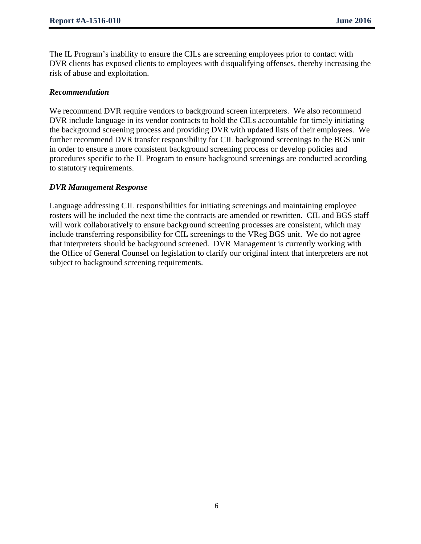The IL Program's inability to ensure the CILs are screening employees prior to contact with DVR clients has exposed clients to employees with disqualifying offenses, thereby increasing the risk of abuse and exploitation.

#### *Recommendation*

We recommend DVR require vendors to background screen interpreters. We also recommend DVR include language in its vendor contracts to hold the CILs accountable for timely initiating the background screening process and providing DVR with updated lists of their employees. We further recommend DVR transfer responsibility for CIL background screenings to the BGS unit in order to ensure a more consistent background screening process or develop policies and procedures specific to the IL Program to ensure background screenings are conducted according to statutory requirements.

#### *DVR Management Response*

Language addressing CIL responsibilities for initiating screenings and maintaining employee rosters will be included the next time the contracts are amended or rewritten. CIL and BGS staff will work collaboratively to ensure background screening processes are consistent, which may include transferring responsibility for CIL screenings to the VReg BGS unit. We do not agree that interpreters should be background screened. DVR Management is currently working with the Office of General Counsel on legislation to clarify our original intent that interpreters are not subject to background screening requirements.